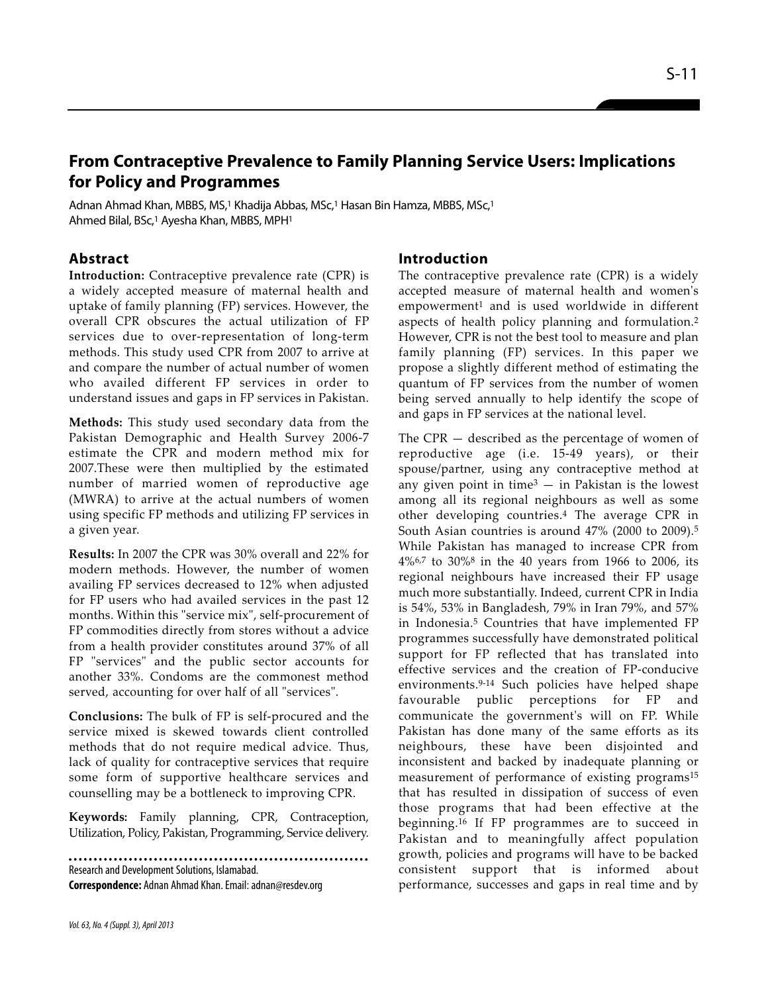# **From Contraceptive Prevalence to Family Planning Service Users: Implications for Policy and Programmes**

Adnan Ahmad Khan, MBBS, MS,<sup>1</sup> Khadija Abbas, MSc,<sup>1</sup> Hasan Bin Hamza, MBBS, MSc,<sup>1</sup> Ahmed Bilal, BSc,<sup>1</sup> Ayesha Khan, MBBS, MPH<sup>1</sup>

### **Abstract**

**Introduction:** Contraceptive prevalence rate (CPR) is a widely accepted measure of maternal health and uptake of family planning (FP) services. However, the overall CPR obscures the actual utilization of FP services due to over-representation of long-term methods. This study used CPR from 2007 to arrive at and compare the number of actual number of women who availed different FP services in order to understand issues and gaps in FP services in Pakistan.

**Methods:** This study used secondary data from the Pakistan Demographic and Health Survey 2006-7 estimate the CPR and modern method mix for 2007.These were then multiplied by the estimated number of married women of reproductive age (MWRA) to arrive at the actual numbers of women using specific FP methods and utilizing FP services in a given year.

**Results:** In 2007 the CPR was 30% overall and 22% for modern methods. However, the number of women availing FP services decreased to 12% when adjusted for FP users who had availed services in the past 12 months. Within this "service mix", self-procurement of FP commodities directly from stores without a advice from a health provider constitutes around 37% of all FP "services" and the public sector accounts for another 33%. Condoms are the commonest method served, accounting for over half of all "services".

**Conclusions:** The bulk of FP is self-procured and the service mixed is skewed towards client controlled methods that do not require medical advice. Thus, lack of quality for contraceptive services that require some form of supportive healthcare services and counselling may be a bottleneck to improving CPR.

**Keywords:** Family planning, CPR, Contraception, Utilization, Policy, Pakistan, Programming, Service delivery.

Research and Development Solutions, Islamabad. **Correspondence:** Adnan Ahmad Khan. Email: adnan@resdev.org

#### **Introduction**

The contraceptive prevalence rate (CPR) is a widely accepted measure of maternal health and women's empowerment<sup>1</sup> and is used worldwide in different aspects of health policy planning and formulation.<sup>2</sup> However, CPR is not the best tool to measure and plan family planning (FP) services. In this paper we propose a slightly different method of estimating the quantum of FP services from the number of women being served annually to help identify the scope of and gaps in FP services at the national level.

The CPR — described as the percentage of women of reproductive age (i.e. 15-49 years), or their spouse/partner, using any contraceptive method at any given point in time $3 -$  in Pakistan is the lowest among all its regional neighbours as well as some other developing countries.<sup>4</sup> The average CPR in South Asian countries is around 47% (2000 to 2009).<sup>5</sup> While Pakistan has managed to increase CPR from 4%6,7 to 30%<sup>8</sup> in the 40 years from 1966 to 2006, its regional neighbours have increased their FP usage much more substantially. Indeed, current CPR in India is 54%, 53% in Bangladesh, 79% in Iran 79%, and 57% in Indonesia.<sup>5</sup> Countries that have implemented FP programmes successfully have demonstrated political support for FP reflected that has translated into effective services and the creation of FP-conducive environments.9-14 Such policies have helped shape favourable public perceptions for FP and communicate the government's will on FP. While Pakistan has done many of the same efforts as its neighbours, these have been disjointed and inconsistent and backed by inadequate planning or measurement of performance of existing programs<sup>15</sup> that has resulted in dissipation of success of even those programs that had been effective at the beginning.<sup>16</sup> If FP programmes are to succeed in Pakistan and to meaningfully affect population growth, policies and programs will have to be backed consistent support that is informed about performance, successes and gaps in real time and by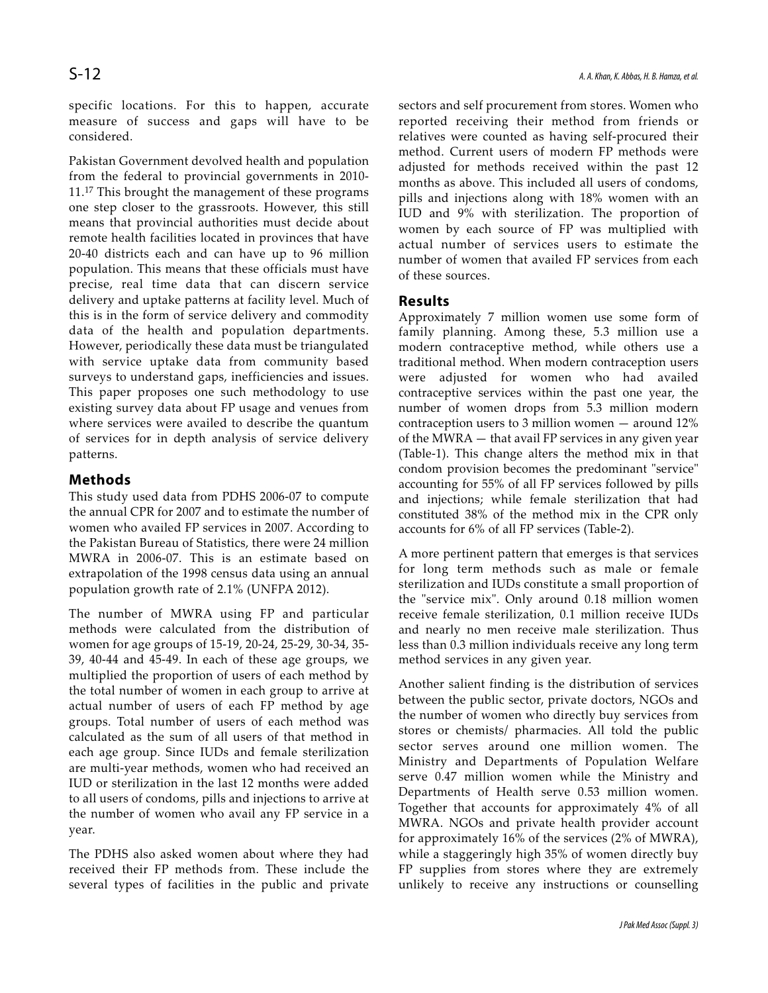specific locations. For this to happen, accurate measure of success and gaps will have to be considered.

Pakistan Government devolved health and population from the federal to provincial governments in 2010- 11.<sup>17</sup> This brought the management of these programs one step closer to the grassroots. However, this still means that provincial authorities must decide about remote health facilities located in provinces that have 20-40 districts each and can have up to 96 million population. This means that these officials must have precise, real time data that can discern service delivery and uptake patterns at facility level. Much of this is in the form of service delivery and commodity data of the health and population departments. However, periodically these data must be triangulated with service uptake data from community based surveys to understand gaps, inefficiencies and issues. This paper proposes one such methodology to use existing survey data about FP usage and venues from where services were availed to describe the quantum of services for in depth analysis of service delivery patterns.

## **Methods**

This study used data from PDHS 2006-07 to compute the annual CPR for 2007 and to estimate the number of women who availed FP services in 2007. According to the Pakistan Bureau of Statistics, there were 24 million MWRA in 2006-07. This is an estimate based on extrapolation of the 1998 census data using an annual population growth rate of 2.1% (UNFPA 2012).

The number of MWRA using FP and particular methods were calculated from the distribution of women for age groups of 15-19, 20-24, 25-29, 30-34, 35- 39, 40-44 and 45-49. In each of these age groups, we multiplied the proportion of users of each method by the total number of women in each group to arrive at actual number of users of each FP method by age groups. Total number of users of each method was calculated as the sum of all users of that method in each age group. Since IUDs and female sterilization are multi-year methods, women who had received an IUD or sterilization in the last 12 months were added to all users of condoms, pills and injections to arrive at the number of women who avail any FP service in a year.

The PDHS also asked women about where they had received their FP methods from. These include the several types of facilities in the public and private

sectors and self procurement from stores. Women who reported receiving their method from friends or relatives were counted as having self-procured their method. Current users of modern FP methods were adjusted for methods received within the past 12 months as above. This included all users of condoms, pills and injections along with 18% women with an IUD and 9% with sterilization. The proportion of women by each source of FP was multiplied with actual number of services users to estimate the number of women that availed FP services from each of these sources.

### **Results**

Approximately 7 million women use some form of family planning. Among these, 5.3 million use a modern contraceptive method, while others use a traditional method. When modern contraception users were adjusted for women who had availed contraceptive services within the past one year, the number of women drops from 5.3 million modern contraception users to 3 million women — around 12% of the MWRA — that avail FP services in any given year (Table-1). This change alters the method mix in that condom provision becomes the predominant "service" accounting for 55% of all FP services followed by pills and injections; while female sterilization that had constituted 38% of the method mix in the CPR only accounts for 6% of all FP services (Table-2).

A more pertinent pattern that emerges is that services for long term methods such as male or female sterilization and IUDs constitute a small proportion of the "service mix". Only around 0.18 million women receive female sterilization, 0.1 million receive IUDs and nearly no men receive male sterilization. Thus less than 0.3 million individuals receive any long term method services in any given year.

Another salient finding is the distribution of services between the public sector, private doctors, NGOs and the number of women who directly buy services from stores or chemists/ pharmacies. All told the public sector serves around one million women. The Ministry and Departments of Population Welfare serve 0.47 million women while the Ministry and Departments of Health serve 0.53 million women. Together that accounts for approximately 4% of all MWRA. NGOs and private health provider account for approximately 16% of the services (2% of MWRA), while a staggeringly high 35% of women directly buy FP supplies from stores where they are extremely unlikely to receive any instructions or counselling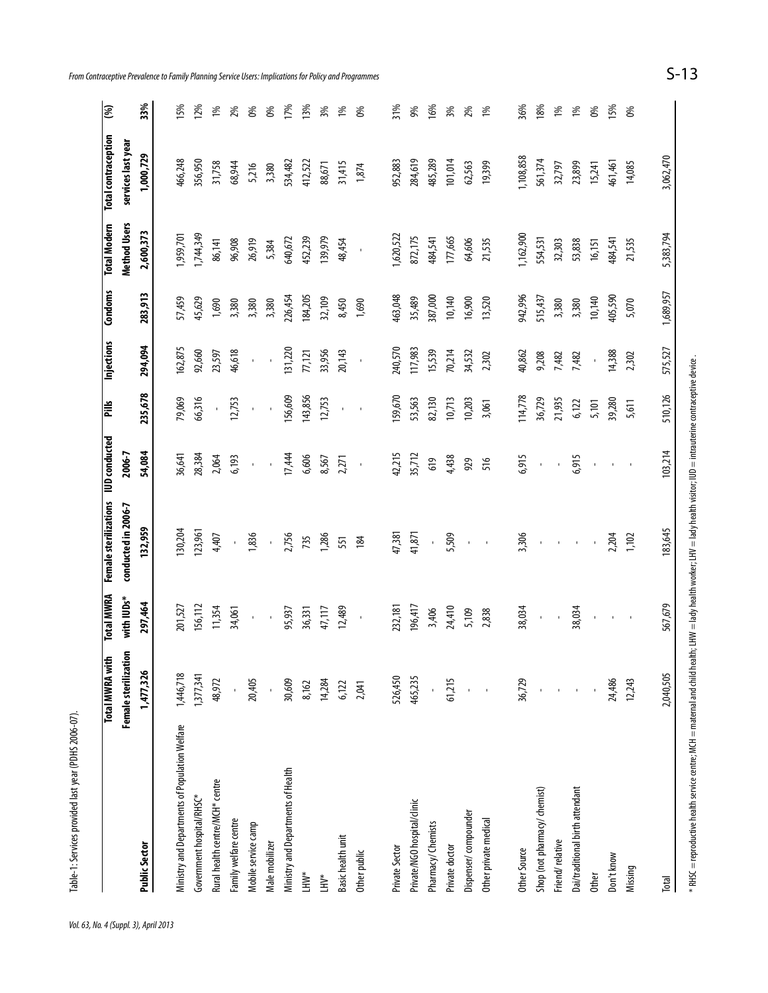|                                                | Female sterilization<br><b>Total MWRA with</b> | <b>Total MWRA</b><br>with IUDs* | <b>Female sterilizations</b><br>conducted in 2006-7 | <b>IUD</b> conducted<br>2006-7 | Pills        | Injections         | Condoms   | <b>Total Modern</b><br>Method Users | <b>Total contraception</b><br>services last year | $\overline{\mathcal{E}}$ |
|------------------------------------------------|------------------------------------------------|---------------------------------|-----------------------------------------------------|--------------------------------|--------------|--------------------|-----------|-------------------------------------|--------------------------------------------------|--------------------------|
| <b>Public Sector</b>                           | 1,477,326                                      | 297,464                         | 132,959                                             | 54,084                         | 235,678      | 294,094            | 283,913   | 2,600,373                           | 1,000,729                                        | 33%                      |
| Ministry and Departments of Population Welfare | 1,446,718                                      | 201,527                         | 130,204                                             | 36,641                         | 79,069       | 162,875            | 57,459    | 1,959,701                           | 466,248                                          | 15%                      |
| Government hospital/RHSC*                      | 1,377,341                                      | 156,112                         | 123,961                                             | 28,384                         | 66,316       | 92,660             | 45,629    | 1,744,349                           | 356,950                                          | 12%                      |
| Rural health centre/MCH* centre                | 48,972                                         | 11,354                          | 4,407                                               | 2,064                          | $\mathbf I$  | 23,597             | 1,690     | 86,141                              | 31,758                                           | 1%                       |
| Family welfare centre                          |                                                | 34,061                          |                                                     | 6,193                          | 12,753       | 46,618             | 3,380     | 96,908                              | 68,944                                           | 2%                       |
| Mobile service camp                            | 20,405                                         | $\mathbf{r}$                    | 1,836                                               | $\mathbf{I}$                   | $\mathbf{I}$ | $\mathbf{r}$       | 3,380     | 26,919                              | 5,216                                            | 0%                       |
| Male mobilizer                                 |                                                | $\mathbf{r}$                    | $\mathbf{r}$                                        |                                | $\mathbf{I}$ |                    | 3,380     | 5,384                               | 3,380                                            | 0%                       |
| Ministry and Departments of Health             | 30,609                                         | 95,937                          | 2,756                                               | 17,444                         | 156,609      | 131,220            | 226,454   | 640,672                             | 534,482                                          | 17%                      |
| LHW*                                           | 8,162                                          | 36,331                          | 735                                                 | 6,606                          | 143,856      | 77,121             | 184,205   | 452,239                             | 412,522                                          | 13%                      |
| È,                                             | 14,284                                         | 47,117                          | 1,286                                               | 8,567                          | 12,753       | 33,956             | 32,109    | 139,979                             | 88,671                                           | 3%                       |
| Basic health unit                              | 6,122                                          | 12,489                          | 551                                                 | 2,271                          | $\mathbf{r}$ | 20,143             | 8,450     | 48,454                              | 31,415                                           | 1%                       |
| Other public                                   | 2,041                                          | $\mathbf{I}$                    | 184                                                 | $\mathbf{I}$                   | $\mathbf{r}$ | $\bar{\mathbf{I}}$ | 1,690     | $\mathbf{I}$                        | 1,874                                            | 0%                       |
| Private Sector                                 | 526,450                                        | 232,181                         | 47,381                                              | 42,215                         | 159,670      | 240,570            | 463,048   | 1,620,522                           | 952,883                                          | 31%                      |
| Private/NGO hospital/clinic                    | 465,235                                        | 196,417                         | 41,871                                              | 35,712                         | 53,563       | 117,983            | 35,489    | 872,175                             | 284,619                                          | 9%                       |
| Pharmacy/ Chemists                             |                                                | 3,406                           | $\blacksquare$                                      | 619                            | 82,130       | 15,539             | 387,000   | 484,541                             | 485,289                                          | 16%                      |
| Private doctor                                 | 61,215                                         | 24,410                          | 5,509                                               | 4,438                          | 10,713       | 70,214             | 10,140    | 177,665                             | 101,014                                          | 3%                       |
| Dispenser/compounder                           |                                                | 5,109                           | $\mathbf{r}$                                        | 929                            | 10,203       | 34,532             | 16,900    | 64,606                              | 62,563                                           | 2%                       |
| Other private medical                          |                                                | 2,838                           | $\mathbf I$                                         | 516                            | 3,061        | 2,302              | 13,520    | 21,535                              | 19,399                                           | 1%                       |
| Other Source                                   | 36,729                                         | 38,034                          | 3,306                                               | 6,915                          | 114,778      | 40,862             | 942,996   | 1,162,900                           | 1,108,858                                        | 36%                      |
| Shop (not pharmacy/ chemist)                   |                                                | $\mathbf I$                     | $\mathbf I$                                         | $\mathbf{I}$                   | 36,729       | 9,208              | 515,437   | 554,531                             | 561,374                                          | 18%                      |
| Friend/relative                                |                                                |                                 | $\blacksquare$                                      | $\blacksquare$                 | 21,935       | 7,482              | 3,380     | 32,303                              | 32,797                                           | 1%                       |
| Dai/traditional birth attendant                |                                                | 38,034                          | $\mathbf{I}$                                        | 6,915                          | 6,122        | 7,482              | 3,380     | 53,838                              | 23,899                                           | 1%                       |
| <b>Other</b>                                   |                                                | $\mathbf{r}$                    | $\bar{\phantom{a}}$                                 | $\mathbf{r}$                   | 5,101        | $\mathbf{r}$       | 10,140    | 16,151                              | 15,241                                           | $6\%$                    |
| Don't know                                     | 24,486                                         | $\mathbf I$                     | 2,204                                               | $\blacksquare$                 | 39,280       | 14,388             | 405,590   | 484,541                             | 461,461                                          | 15%                      |
| Missing                                        | 12,243                                         | $\mathbf{I}$                    | 1,102                                               | $\mathbf{I}$                   | 5,611        | 2,302              | 5,070     | 21,535                              | 14,085                                           | 0%                       |
| Total                                          | 2,040,505                                      | 567,679                         | 183,645                                             | 103,214                        | 510,126      | 575,527            | 1,689,957 | 5,383,794                           | 3,062,470                                        |                          |

*Vol. 63, No. 4 (Suppl. 3), April 2013*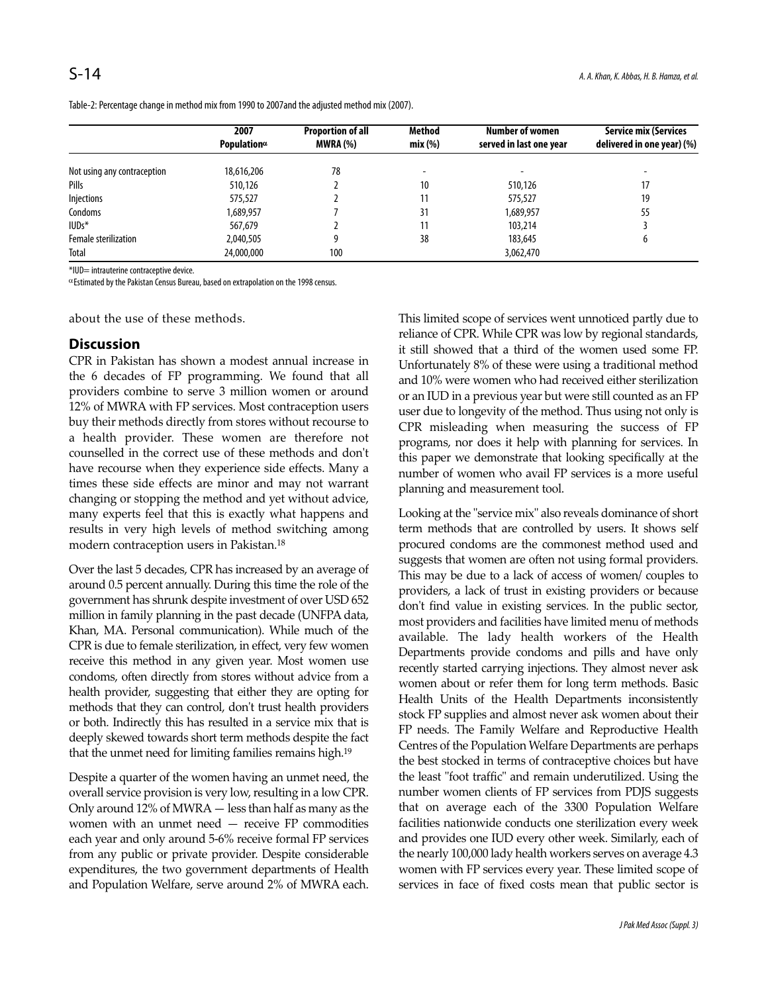Table-2: Percentage change in method mix from 1990 to 2007and the adjusted method mix (2007).

|                             | 2007                | <b>Proportion of all</b> | <b>Method</b> | <b>Number of women</b>  | <b>Service mix (Services</b> |
|-----------------------------|---------------------|--------------------------|---------------|-------------------------|------------------------------|
|                             | Population $\alpha$ | <b>MWRA (%)</b>          | mix(%)        | served in last one year | delivered in one year) (%)   |
| Not using any contraception | 18,616,206          | 78                       |               |                         |                              |
| Pills                       | 510,126             |                          | 10            | 510,126                 | 17                           |
| Injections                  | 575,527             |                          | 11            | 575,527                 | 19                           |
| Condoms                     | 1,689,957           |                          | 31            | 1,689,957               | 55                           |
| $IUDs*$                     | 567,679             |                          | 11            | 103,214                 |                              |
| Female sterilization        | 2,040,505           | q                        | 38            | 183,645                 | b                            |
| Total                       | 24,000,000          | 100                      |               | 3,062,470               |                              |

\*IUD= intrauterine contraceptive device.

<sup>α</sup>Estimated by the Pakistan Census Bureau, based on extrapolation on the 1998 census.

about the use of these methods.

#### **Discussion**

CPR in Pakistan has shown a modest annual increase in the 6 decades of FP programming. We found that all providers combine to serve 3 million women or around 12% of MWRA with FP services. Most contraception users buy their methods directly from stores without recourse to a health provider. These women are therefore not counselled in the correct use of these methods and don't have recourse when they experience side effects. Many a times these side effects are minor and may not warrant changing or stopping the method and yet without advice, many experts feel that this is exactly what happens and results in very high levels of method switching among modern contraception users in Pakistan.<sup>18</sup>

Over the last 5 decades, CPR has increased by an average of around 0.5 percent annually. During this time the role of the government has shrunk despite investment of over USD 652 million in family planning in the past decade (UNFPA data, Khan, MA. Personal communication). While much of the CPR is due to female sterilization, in effect, very few women receive this method in any given year. Most women use condoms, often directly from stores without advice from a health provider, suggesting that either they are opting for methods that they can control, don't trust health providers or both. Indirectly this has resulted in a service mix that is deeply skewed towards short term methods despite the fact that the unmet need for limiting families remains high.<sup>19</sup>

Despite a quarter of the women having an unmet need, the overall service provision is very low, resulting in a low CPR. Only around 12% of MWRA — less than half as many as the women with an unmet need — receive FP commodities each year and only around 5-6% receive formal FP services from any public or private provider. Despite considerable expenditures, the two government departments of Health and Population Welfare, serve around 2% of MWRA each.

This limited scope of services went unnoticed partly due to reliance of CPR. While CPR was low by regional standards, it still showed that a third of the women used some FP. Unfortunately 8% of these were using a traditional method and 10% were women who had received either sterilization or an IUD in a previous year but were still counted as an FP user due to longevity of the method. Thus using not only is CPR misleading when measuring the success of FP programs, nor does it help with planning for services. In this paper we demonstrate that looking specifically at the number of women who avail FP services is a more useful planning and measurement tool.

Looking at the "service mix" also reveals dominance of short term methods that are controlled by users. It shows self procured condoms are the commonest method used and suggests that women are often not using formal providers. This may be due to a lack of access of women/ couples to providers, a lack of trust in existing providers or because don't find value in existing services. In the public sector, most providers and facilities have limited menu of methods available. The lady health workers of the Health Departments provide condoms and pills and have only recently started carrying injections. They almost never ask women about or refer them for long term methods. Basic Health Units of the Health Departments inconsistently stock FP supplies and almost never ask women about their FP needs. The Family Welfare and Reproductive Health Centres of the Population Welfare Departments are perhaps the best stocked in terms of contraceptive choices but have the least "foot traffic" and remain underutilized. Using the number women clients of FP services from PDJS suggests that on average each of the 3300 Population Welfare facilities nationwide conducts one sterilization every week and provides one IUD every other week. Similarly, each of the nearly 100,000 lady health workers serves on average 4.3 women with FP services every year. These limited scope of services in face of fixed costs mean that public sector is